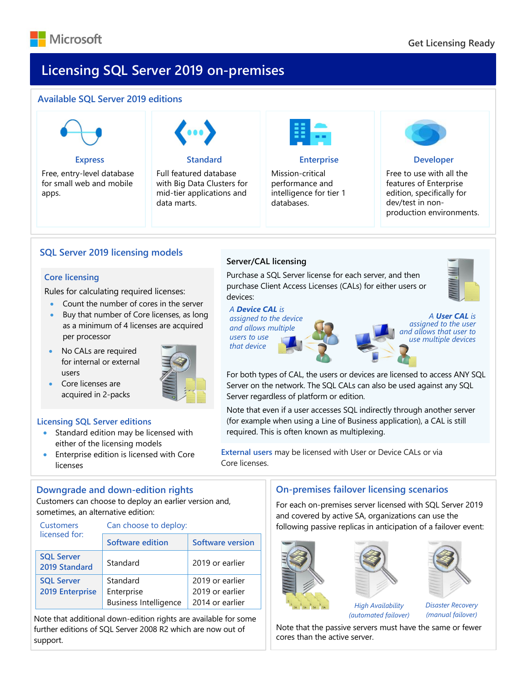

### $A_{\rm max}$  and  $A_{\rm max}$  are  $A_{\rm max}$  editions 2019 editions 2019 editions 2019 editions 2019 editions 2019 editions 2019 editions 2019 editions 2019 editions 2019 editions 2019 editions 2019 editions 2019 editions 2019 edit **Licensing SQL Server 2019 on-premises**

# **Available SQL Server 2019 editions**



**Express**

Free, entry-level database for small web and mobile apps.



#### **Standard**

Full featured database with Big Data Clusters for mid-tier applications and data marts.



#### **Enterprise**

Mission-critical performance and intelligence for tier 1 databases.



#### **Developer**

Free to use with all the features of Enterprise edition, specifically for dev/test in nonproduction environments.

# **SQL Server 2019 licensing models**

#### **Core licensing**

Rules for calculating required licenses:

- Count the number of cores in the server
- Buy that number of Core licenses, as long as a minimum of 4 licenses are acquired per processor
- No CALs are required for internal or external users



• Core licenses are acquired in 2-packs

#### **Licensing SQL Server editions**

- Standard edition may be licensed with either of the licensing models
- Enterprise edition is licensed with Core licenses

# **Downgrade and down-edition rights**

Customers can choose to deploy an earlier version and, sometimes, an alternative edition:

| <b>Customers</b><br>licensed for:    | Can choose to deploy:                                  |                                                       |
|--------------------------------------|--------------------------------------------------------|-------------------------------------------------------|
|                                      | Software edition                                       | <b>Software version</b>                               |
| <b>SQL Server</b><br>2019 Standard   | Standard                                               | 2019 or earlier                                       |
| <b>SQL Server</b><br>2019 Enterprise | Standard<br>Enterprise<br><b>Business Intelligence</b> | 2019 or earlier<br>2019 or earlier<br>2014 or earlier |

Note that additional down-edition rights are available for some further editions of SQL Server 2008 R2 which are now out of support.

# **Server/CAL licensing**

Purchase a SQL Server license for each server, and then purchase Client Access Licenses (CALs) for either users or devices:

*A Device CAL is* 

*assigned to the device and allows multiple users to use that device*



*A User CAL is assigned to the user and allows that user to use multiple devices* 

For both types of CAL, the users or devices are licensed to access ANY SQL Server on the network. The SQL CALs can also be used against any SQL Server regardless of platform or edition.

Note that even if a user accesses SQL indirectly through another server (for example when using a Line of Business application), a CAL is still required. This is often known as multiplexing.

**External users** may be licensed with User or Device CALs or via Core licenses.

# **On-premises failover licensing scenarios**

For each on-premises server licensed with SQL Server 2019 and covered by active SA, organizations can use the following passive replicas in anticipation of a failover event:





*High Availability (automated failover)*



Note that the passive servers must have the same or fewer cores than the active server.